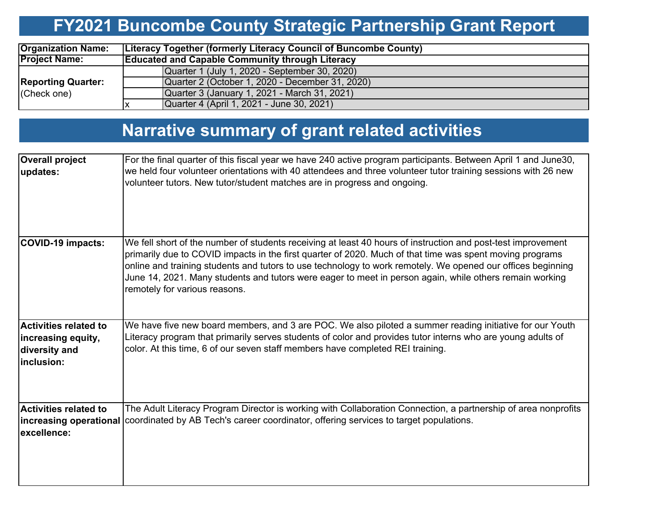### **FY2021 Buncombe County Strategic Partnership Grant Report**

| <b>Organization Name:</b>                    | <b>Literacy Together (formerly Literacy Council of Buncombe County)</b> |                                                 |  |  |  |  |  |
|----------------------------------------------|-------------------------------------------------------------------------|-------------------------------------------------|--|--|--|--|--|
| <b>Project Name:</b>                         | <b>Educated and Capable Community through Literacy</b>                  |                                                 |  |  |  |  |  |
|                                              |                                                                         | Quarter 1 (July 1, 2020 - September 30, 2020)   |  |  |  |  |  |
| <b>Reporting Quarter:</b><br>$ $ (Check one) |                                                                         | Quarter 2 (October 1, 2020 - December 31, 2020) |  |  |  |  |  |
|                                              |                                                                         | Quarter 3 (January 1, 2021 - March 31, 2021)    |  |  |  |  |  |
|                                              |                                                                         | Quarter 4 (April 1, 2021 - June 30, 2021)       |  |  |  |  |  |

### **Narrative summary of grant related activities**

| <b>Overall project</b><br>updates:                                                | For the final quarter of this fiscal year we have 240 active program participants. Between April 1 and June30,<br>we held four volunteer orientations with 40 attendees and three volunteer tutor training sessions with 26 new<br>volunteer tutors. New tutor/student matches are in progress and ongoing.                                                                                                                                                                         |
|-----------------------------------------------------------------------------------|-------------------------------------------------------------------------------------------------------------------------------------------------------------------------------------------------------------------------------------------------------------------------------------------------------------------------------------------------------------------------------------------------------------------------------------------------------------------------------------|
| <b>COVID-19 impacts:</b>                                                          | We fell short of the number of students receiving at least 40 hours of instruction and post-test improvement<br>primarily due to COVID impacts in the first quarter of 2020. Much of that time was spent moving programs<br>online and training students and tutors to use technology to work remotely. We opened our offices beginning<br>June 14, 2021. Many students and tutors were eager to meet in person again, while others remain working<br>remotely for various reasons. |
| <b>Activities related to</b><br>increasing equity,<br>diversity and<br>inclusion: | We have five new board members, and 3 are POC. We also piloted a summer reading initiative for our Youth<br>Literacy program that primarily serves students of color and provides tutor interns who are young adults of<br>color. At this time, 6 of our seven staff members have completed REI training.                                                                                                                                                                           |
| <b>Activities related to</b><br>excellence:                                       | The Adult Literacy Program Director is working with Collaboration Connection, a partnership of area nonprofits<br>increasing operational coordinated by AB Tech's career coordinator, offering services to target populations.                                                                                                                                                                                                                                                      |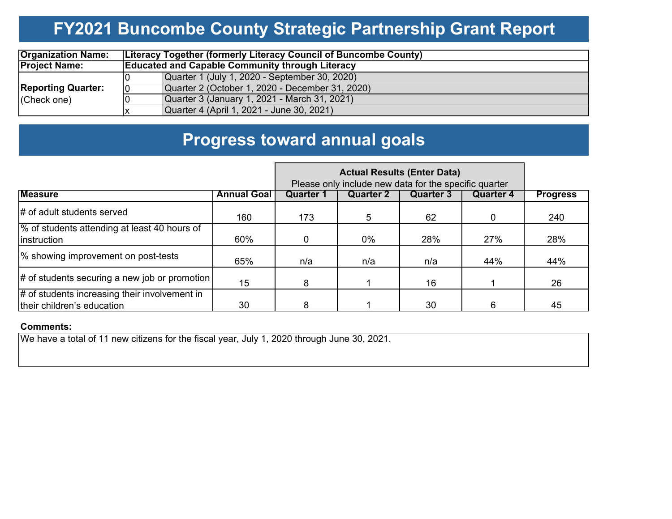# **FY2021 Buncombe County Strategic Partnership Grant Report**

| <b>Organization Name:</b> | <b>Literacy Together (formerly Literacy Council of Buncombe County)</b> |                                                        |  |  |  |  |  |  |  |
|---------------------------|-------------------------------------------------------------------------|--------------------------------------------------------|--|--|--|--|--|--|--|
| <b>Project Name:</b>      |                                                                         | <b>Educated and Capable Community through Literacy</b> |  |  |  |  |  |  |  |
|                           |                                                                         | Quarter 1 (July 1, 2020 - September 30, 2020)          |  |  |  |  |  |  |  |
| <b>Reporting Quarter:</b> | 10                                                                      | Quarter 2 (October 1, 2020 - December 31, 2020)        |  |  |  |  |  |  |  |
| (Check one)               |                                                                         | Quarter 3 (January 1, 2021 - March 31, 2021)           |  |  |  |  |  |  |  |
|                           |                                                                         | Quarter 4 (April 1, 2021 - June 30, 2021)              |  |  |  |  |  |  |  |

### **Progress toward annual goals**

|                                                                             | Please only include new data for the specific quarter |                  |                  |                  |           |                 |
|-----------------------------------------------------------------------------|-------------------------------------------------------|------------------|------------------|------------------|-----------|-----------------|
| <b>Measure</b>                                                              | <b>Annual Goal</b>                                    | <b>Quarter 1</b> | <b>Quarter 2</b> | <b>Quarter 3</b> | Quarter 4 | <b>Progress</b> |
| # of adult students served                                                  | 160                                                   | 173              | 5                | 62               |           | 240             |
| % of students attending at least 40 hours of<br><i>instruction</i>          | 60%                                                   | $\Omega$         | $0\%$            | 28%              | 27%       | 28%             |
| % showing improvement on post-tests                                         | 65%                                                   | n/a              | n/a              | n/a              | 44%       | 44%             |
| $\#$ of students securing a new job or promotion                            | 15                                                    | 8                |                  | 16               |           | 26              |
| # of students increasing their involvement in<br>their children's education | 30                                                    | 8                |                  | 30               | 6         | 45              |

#### **Comments:**

We have a total of 11 new citizens for the fiscal year, July 1, 2020 through June 30, 2021.